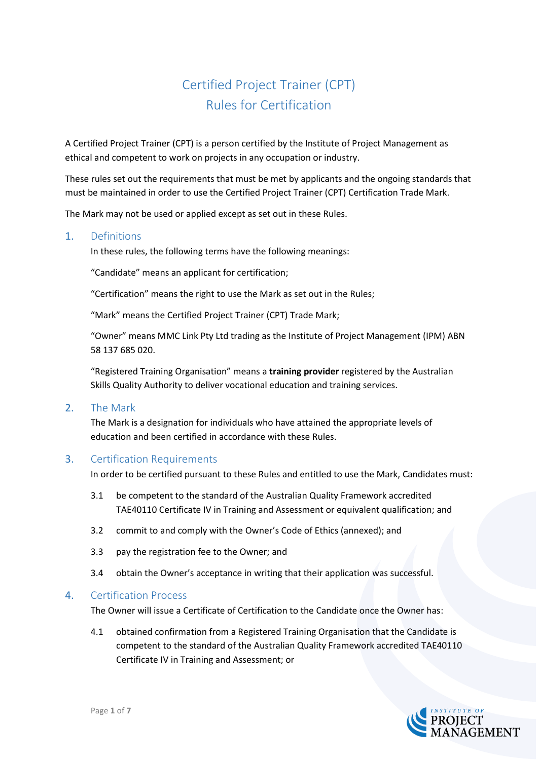# Certified Project Trainer (CPT) Rules for Certification

A Certified Project Trainer (CPT) is a person certified by the Institute of Project Management as ethical and competent to work on projects in any occupation or industry.

These rules set out the requirements that must be met by applicants and the ongoing standards that must be maintained in order to use the Certified Project Trainer (CPT) Certification Trade Mark.

The Mark may not be used or applied except as set out in these Rules.

# 1. Definitions

In these rules, the following terms have the following meanings:

"Candidate" means an applicant for certification;

"Certification" means the right to use the Mark as set out in the Rules;

"Mark" means the Certified Project Trainer (CPT) Trade Mark;

"Owner" means MMC Link Pty Ltd trading as the Institute of Project Management (IPM) ABN 58 137 685 020.

"Registered Training Organisation" means a **training provider** registered by the Australian Skills Quality Authority to deliver vocational education and training services.

# 2. The Mark

The Mark is a designation for individuals who have attained the appropriate levels of education and been certified in accordance with these Rules.

# 3. Certification Requirements

In order to be certified pursuant to these Rules and entitled to use the Mark, Candidates must:

- 3.1 be competent to the standard of the Australian Quality Framework accredited TAE40110 Certificate IV in Training and Assessment or equivalent qualification; and
- 3.2 commit to and comply with the Owner's Code of Ethics (annexed); and
- 3.3 pay the registration fee to the Owner; and
- 3.4 obtain the Owner's acceptance in writing that their application was successful.

#### 4. Certification Process

The Owner will issue a Certificate of Certification to the Candidate once the Owner has:

4.1 obtained confirmation from a Registered Training Organisation that the Candidate is competent to the standard of the Australian Quality Framework accredited TAE40110 Certificate IV in Training and Assessment; or

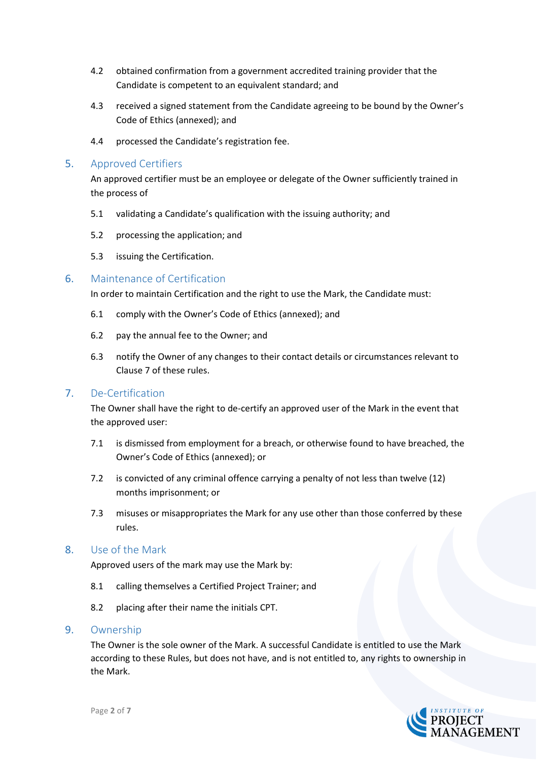- 4.2 obtained confirmation from a government accredited training provider that the Candidate is competent to an equivalent standard; and
- 4.3 received a signed statement from the Candidate agreeing to be bound by the Owner's Code of Ethics (annexed); and
- 4.4 processed the Candidate's registration fee.

# 5. Approved Certifiers

An approved certifier must be an employee or delegate of the Owner sufficiently trained in the process of

- 5.1 validating a Candidate's qualification with the issuing authority; and
- 5.2 processing the application; and
- 5.3 issuing the Certification.

# 6. Maintenance of Certification

In order to maintain Certification and the right to use the Mark, the Candidate must:

- 6.1 comply with the Owner's Code of Ethics (annexed); and
- 6.2 pay the annual fee to the Owner; and
- 6.3 notify the Owner of any changes to their contact details or circumstances relevant to Clause 7 of these rules.

# 7. De-Certification

The Owner shall have the right to de-certify an approved user of the Mark in the event that the approved user:

- 7.1 is dismissed from employment for a breach, or otherwise found to have breached, the Owner's Code of Ethics (annexed); or
- 7.2 is convicted of any criminal offence carrying a penalty of not less than twelve (12) months imprisonment; or
- 7.3 misuses or misappropriates the Mark for any use other than those conferred by these rules.

# 8. Use of the Mark

Approved users of the mark may use the Mark by:

- 8.1 calling themselves a Certified Project Trainer; and
- 8.2 placing after their name the initials CPT.

#### 9. Ownership

The Owner is the sole owner of the Mark. A successful Candidate is entitled to use the Mark according to these Rules, but does not have, and is not entitled to, any rights to ownership in the Mark.

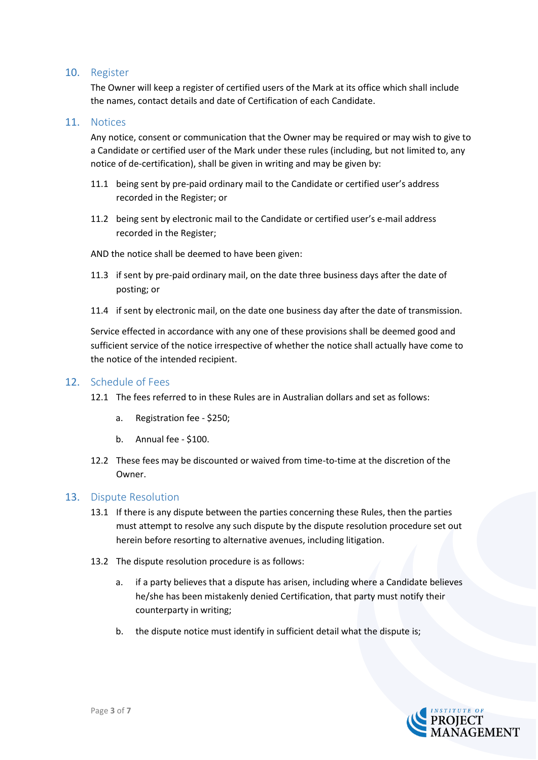# 10. Register

The Owner will keep a register of certified users of the Mark at its office which shall include the names, contact details and date of Certification of each Candidate.

# 11. Notices

Any notice, consent or communication that the Owner may be required or may wish to give to a Candidate or certified user of the Mark under these rules (including, but not limited to, any notice of de-certification), shall be given in writing and may be given by:

- 11.1 being sent by pre-paid ordinary mail to the Candidate or certified user's address recorded in the Register; or
- 11.2 being sent by electronic mail to the Candidate or certified user's e-mail address recorded in the Register;

AND the notice shall be deemed to have been given:

- 11.3 if sent by pre-paid ordinary mail, on the date three business days after the date of posting; or
- 11.4 if sent by electronic mail, on the date one business day after the date of transmission.

Service effected in accordance with any one of these provisions shall be deemed good and sufficient service of the notice irrespective of whether the notice shall actually have come to the notice of the intended recipient.

# 12. Schedule of Fees

- 12.1 The fees referred to in these Rules are in Australian dollars and set as follows:
	- a. Registration fee \$250;
	- b. Annual fee \$100.
- 12.2 These fees may be discounted or waived from time-to-time at the discretion of the Owner.

# 13. Dispute Resolution

- 13.1 If there is any dispute between the parties concerning these Rules, then the parties must attempt to resolve any such dispute by the dispute resolution procedure set out herein before resorting to alternative avenues, including litigation.
- 13.2 The dispute resolution procedure is as follows:
	- a. if a party believes that a dispute has arisen, including where a Candidate believes he/she has been mistakenly denied Certification, that party must notify their counterparty in writing;
	- b. the dispute notice must identify in sufficient detail what the dispute is;

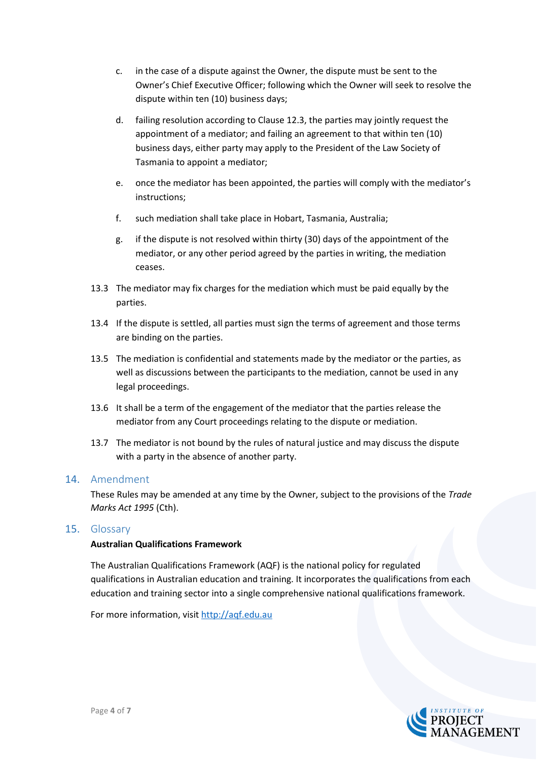- c. in the case of a dispute against the Owner, the dispute must be sent to the Owner's Chief Executive Officer; following which the Owner will seek to resolve the dispute within ten (10) business days;
- d. failing resolution according to Clause 12.3, the parties may jointly request the appointment of a mediator; and failing an agreement to that within ten (10) business days, either party may apply to the President of the Law Society of Tasmania to appoint a mediator;
- e. once the mediator has been appointed, the parties will comply with the mediator's instructions;
- f. such mediation shall take place in Hobart, Tasmania, Australia;
- g. if the dispute is not resolved within thirty (30) days of the appointment of the mediator, or any other period agreed by the parties in writing, the mediation ceases.
- 13.3 The mediator may fix charges for the mediation which must be paid equally by the parties.
- 13.4 If the dispute is settled, all parties must sign the terms of agreement and those terms are binding on the parties.
- 13.5 The mediation is confidential and statements made by the mediator or the parties, as well as discussions between the participants to the mediation, cannot be used in any legal proceedings.
- 13.6 It shall be a term of the engagement of the mediator that the parties release the mediator from any Court proceedings relating to the dispute or mediation.
- 13.7 The mediator is not bound by the rules of natural justice and may discuss the dispute with a party in the absence of another party.

# 14. Amendment

These Rules may be amended at any time by the Owner, subject to the provisions of the *Trade Marks Act 1995* (Cth).

# 15. Glossary

#### **Australian Qualifications Framework**

The Australian Qualifications Framework (AQF) is the national policy for regulated qualifications in Australian education and training. It incorporates the qualifications from each education and training sector into a single comprehensive national qualifications framework.

For more information, visit [http://aqf.edu.au](http://aqf.edu.au/)

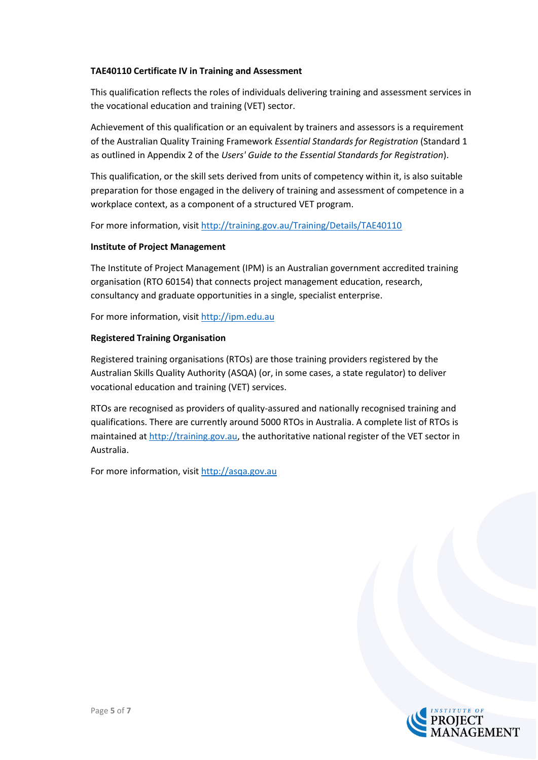#### **TAE40110 Certificate IV in Training and Assessment**

This qualification reflects the roles of individuals delivering training and assessment services in the vocational education and training (VET) sector.

Achievement of this qualification or an equivalent by trainers and assessors is a requirement of the Australian Quality Training Framework *Essential Standards for Registration* (Standard 1 as outlined in Appendix 2 of the *Users' Guide to the Essential Standards for Registration*).

This qualification, or the skill sets derived from units of competency within it, is also suitable preparation for those engaged in the delivery of training and assessment of competence in a workplace context, as a component of a structured VET program.

For more information, visit http://training.gov.au/Training/Details/TAE40110

#### **Institute of Project Management**

The Institute of Project Management (IPM) is an Australian government accredited training organisation (RTO 60154) that connects project management education, research, consultancy and graduate opportunities in a single, specialist enterprise.

For more information, visit [http://ipm.edu.au](http://ipm.edu.au/)

#### **Registered Training Organisation**

Registered training organisations (RTOs) are those training providers registered by the Australian Skills Quality Authority (ASQA) (or, in some cases, a state regulator) to deliver vocational education and training (VET) services.

RTOs are recognised as providers of quality-assured and nationally recognised training and qualifications. There are currently around 5000 RTOs in Australia. A complete list of RTOs is maintained at [http://training.gov.au,](http://training.gov.au/) the authoritative national register of the VET sector in Australia.

For more information, visit [http://asqa.gov.au](http://asqa.gov.au/)

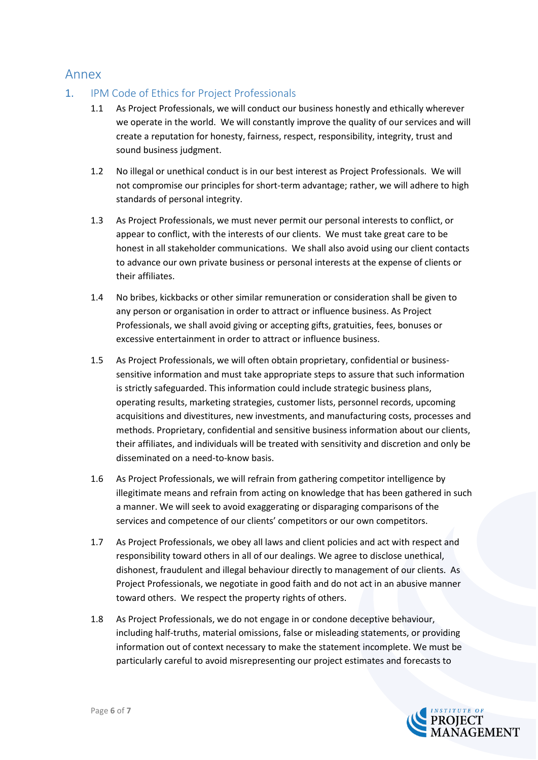# Annex

- 1. IPM Code of Ethics for Project Professionals
	- 1.1 As Project Professionals, we will conduct our business honestly and ethically wherever we operate in the world. We will constantly improve the quality of our services and will create a reputation for honesty, fairness, respect, responsibility, integrity, trust and sound business judgment.
	- 1.2 No illegal or unethical conduct is in our best interest as Project Professionals. We will not compromise our principles for short-term advantage; rather, we will adhere to high standards of personal integrity.
	- 1.3 As Project Professionals, we must never permit our personal interests to conflict, or appear to conflict, with the interests of our clients. We must take great care to be honest in all stakeholder communications. We shall also avoid using our client contacts to advance our own private business or personal interests at the expense of clients or their affiliates.
	- 1.4 No bribes, kickbacks or other similar remuneration or consideration shall be given to any person or organisation in order to attract or influence business. As Project Professionals, we shall avoid giving or accepting gifts, gratuities, fees, bonuses or excessive entertainment in order to attract or influence business.
	- 1.5 As Project Professionals, we will often obtain proprietary, confidential or businesssensitive information and must take appropriate steps to assure that such information is strictly safeguarded. This information could include strategic business plans, operating results, marketing strategies, customer lists, personnel records, upcoming acquisitions and divestitures, new investments, and manufacturing costs, processes and methods. Proprietary, confidential and sensitive business information about our clients, their affiliates, and individuals will be treated with sensitivity and discretion and only be disseminated on a need-to-know basis.
	- 1.6 As Project Professionals, we will refrain from gathering competitor intelligence by illegitimate means and refrain from acting on knowledge that has been gathered in such a manner. We will seek to avoid exaggerating or disparaging comparisons of the services and competence of our clients' competitors or our own competitors.
	- 1.7 As Project Professionals, we obey all laws and client policies and act with respect and responsibility toward others in all of our dealings. We agree to disclose unethical, dishonest, fraudulent and illegal behaviour directly to management of our clients. As Project Professionals, we negotiate in good faith and do not act in an abusive manner toward others. We respect the property rights of others.
	- 1.8 As Project Professionals, we do not engage in or condone deceptive behaviour, including half-truths, material omissions, false or misleading statements, or providing information out of context necessary to make the statement incomplete. We must be particularly careful to avoid misrepresenting our project estimates and forecasts to